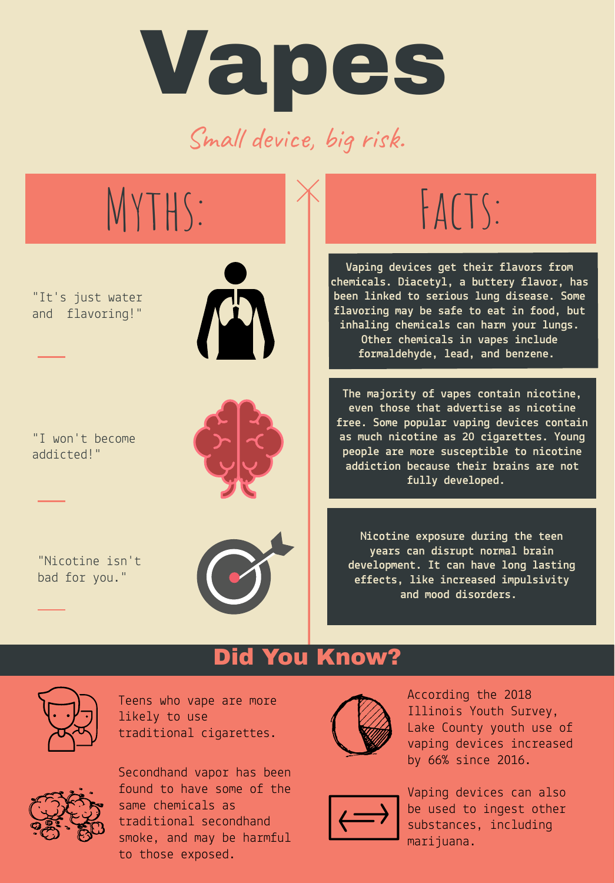Vapes Small device, big risk.



### Did You Know?



Teens who vape are more likely to use traditional cigarettes.



Secondhand vapor has been found to have some of the same chemicals as traditional secondhand smoke, and may be harmful to those exposed.



According the 2018 Illinois Youth Survey, Lake County youth use of vaping devices increased by 66% since 2016.



Vaping devices can also be used to ingest other substances, including marijuana.